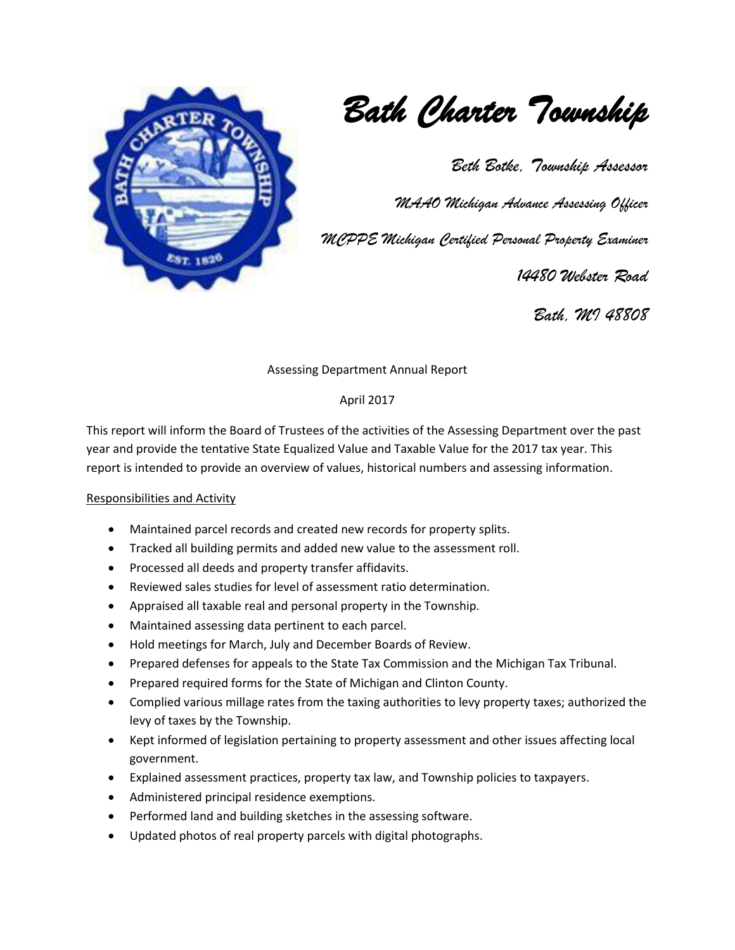

*Bath Charter Township* 

*Beth Botke, Township Assessor* 

*MAAO Michigan Advance Assessing Officer*

*MCPPE Michigan Certified Personal Property Examiner*

 *14480 Webster Road* 

*Bath, MI 48808*

Assessing Department Annual Report

### April 2017

This report will inform the Board of Trustees of the activities of the Assessing Department over the past year and provide the tentative State Equalized Value and Taxable Value for the 2017 tax year. This report is intended to provide an overview of values, historical numbers and assessing information.

#### Responsibilities and Activity

- Maintained parcel records and created new records for property splits.
- Tracked all building permits and added new value to the assessment roll.
- Processed all deeds and property transfer affidavits.
- Reviewed sales studies for level of assessment ratio determination.
- Appraised all taxable real and personal property in the Township.
- Maintained assessing data pertinent to each parcel.
- Hold meetings for March, July and December Boards of Review.
- Prepared defenses for appeals to the State Tax Commission and the Michigan Tax Tribunal.
- Prepared required forms for the State of Michigan and Clinton County.
- Complied various millage rates from the taxing authorities to levy property taxes; authorized the levy of taxes by the Township.
- Kept informed of legislation pertaining to property assessment and other issues affecting local government.
- Explained assessment practices, property tax law, and Township policies to taxpayers.
- Administered principal residence exemptions.
- Performed land and building sketches in the assessing software.
- Updated photos of real property parcels with digital photographs.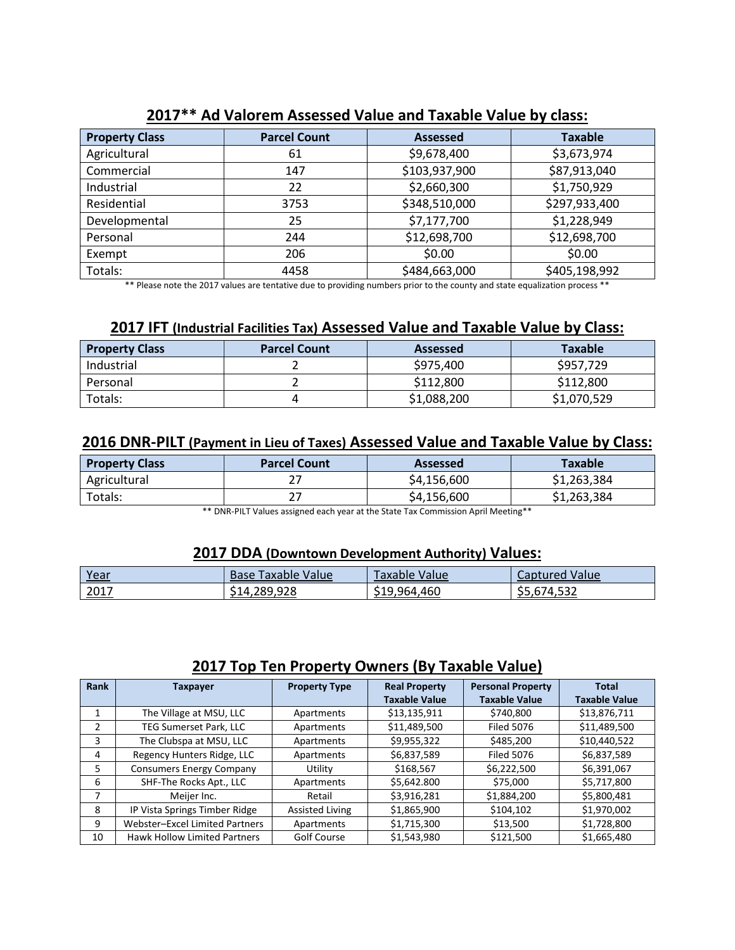| <b>Property Class</b> | <b>Parcel Count</b> | <b>Assessed</b> | <b>Taxable</b> |
|-----------------------|---------------------|-----------------|----------------|
| Agricultural          | 61                  | \$9,678,400     | \$3,673,974    |
| Commercial            | 147                 | \$103,937,900   | \$87,913,040   |
| Industrial            | 22                  | \$2,660,300     | \$1,750,929    |
| Residential           | 3753                | \$348,510,000   | \$297,933,400  |
| Developmental         | 25                  | \$7,177,700     | \$1,228,949    |
| Personal              | 244                 | \$12,698,700    | \$12,698,700   |
| Exempt                | 206                 | \$0.00          | \$0.00         |
| Totals:               | 4458                | \$484,663,000   | \$405,198,992  |

# **2017\*\* Ad Valorem Assessed Value and Taxable Value by class:**

\*\* Please note the 2017 values are tentative due to providing numbers prior to the county and state equalization process \*\*

## **2017 IFT (Industrial Facilities Tax) Assessed Value and Taxable Value by Class:**

| <b>Property Class</b> | <b>Parcel Count</b> | <b>Assessed</b> | <b>Taxable</b> |
|-----------------------|---------------------|-----------------|----------------|
| Industrial            |                     | \$975,400       | \$957,729      |
| Personal              |                     | \$112,800       | \$112,800      |
| Totals:               |                     | \$1,088,200     | \$1,070,529    |

### **2016 DNR-PILT (Payment in Lieu of Taxes) Assessed Value and Taxable Value by Class:**

| <b>Property Class</b> | <b>Parcel Count</b> | Assessed    | Taxable     |
|-----------------------|---------------------|-------------|-------------|
| Agricultural          |                     | \$4,156,600 | \$1,263,384 |
| Totals:               | n –                 | \$4,156,600 | \$1,263,384 |

\*\* DNR-PILT Values assigned each year at the State Tax Commission April Meeting\*\*

#### **2017 DDA (Downtown Development Authority) Values:**

| Year | Value<br>Faxable<br>Base | Value<br>axable l              | Value<br>Captured                          |
|------|--------------------------|--------------------------------|--------------------------------------------|
| 2017 | 14,289,928;              | .964.460<br>51 Q<br>. <i>.</i> | <b>74 532</b><br>∍<br>8.JJZ<br><b>JJ.V</b> |

# **2017 Top Ten Property Owners (By Taxable Value)**

| Rank | Taxpayer                            | <b>Property Type</b>   | <b>Real Property</b> | <b>Personal Property</b> | <b>Total</b>         |
|------|-------------------------------------|------------------------|----------------------|--------------------------|----------------------|
|      |                                     |                        | <b>Taxable Value</b> | <b>Taxable Value</b>     | <b>Taxable Value</b> |
|      | The Village at MSU, LLC             | Apartments             | \$13,135,911         | \$740,800                | \$13,876,711         |
| 2    | TEG Sumerset Park, LLC              | Apartments             | \$11,489,500         | <b>Filed 5076</b>        | \$11,489,500         |
| 3    | The Clubspa at MSU, LLC             | Apartments             | \$9,955,322          | \$485,200                | \$10,440,522         |
| 4    | Regency Hunters Ridge, LLC          | Apartments             | \$6,837,589          | <b>Filed 5076</b>        | \$6,837,589          |
| 5.   | <b>Consumers Energy Company</b>     | Utility                | \$168,567            | \$6,222,500              | \$6,391,067          |
| 6    | SHF-The Rocks Apt., LLC             | Apartments             | \$5,642.800          | \$75,000                 | \$5,717,800          |
|      | Meijer Inc.                         | Retail                 | \$3,916,281          | \$1,884,200              | \$5,800,481          |
| 8    | IP Vista Springs Timber Ridge       | <b>Assisted Living</b> | \$1,865,900          | \$104,102                | \$1,970,002          |
| 9    | Webster-Excel Limited Partners      | Apartments             | \$1,715,300          | \$13,500                 | \$1,728,800          |
| 10   | <b>Hawk Hollow Limited Partners</b> | Golf Course            | \$1,543,980          | \$121,500                | \$1,665,480          |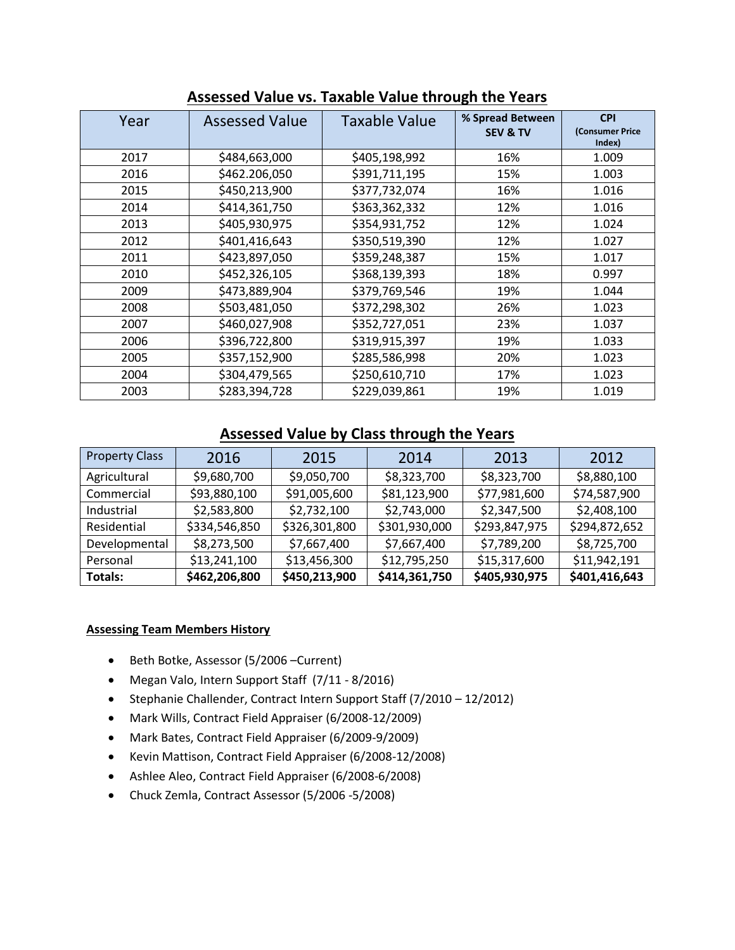| Year | <b>Assessed Value</b> | <b>Taxable Value</b> | % Spread Between<br><b>SEV &amp; TV</b> | <b>CPI</b><br>(Consumer Price<br>Index) |
|------|-----------------------|----------------------|-----------------------------------------|-----------------------------------------|
| 2017 | \$484,663,000         | \$405,198,992        | 16%                                     | 1.009                                   |
| 2016 | \$462.206,050         | \$391,711,195        | 15%                                     | 1.003                                   |
| 2015 | \$450,213,900         | \$377,732,074        | 16%                                     | 1.016                                   |
| 2014 | \$414,361,750         | \$363,362,332        | 12%                                     | 1.016                                   |
| 2013 | \$405,930,975         | \$354,931,752        | 12%                                     | 1.024                                   |
| 2012 | \$401,416,643         | \$350,519,390        | 12%                                     | 1.027                                   |
| 2011 | \$423,897,050         | \$359,248,387        | 15%                                     | 1.017                                   |
| 2010 | \$452,326,105         | \$368,139,393        | 18%                                     | 0.997                                   |
| 2009 | \$473,889,904         | \$379,769,546        | 19%                                     | 1.044                                   |
| 2008 | \$503,481,050         | \$372,298,302        | 26%                                     | 1.023                                   |
| 2007 | \$460,027,908         | \$352,727,051        | 23%                                     | 1.037                                   |
| 2006 | \$396,722,800         | \$319,915,397        | 19%                                     | 1.033                                   |
| 2005 | \$357,152,900         | \$285,586,998        | 20%                                     | 1.023                                   |
| 2004 | \$304,479,565         | \$250,610,710        | 17%                                     | 1.023                                   |
| 2003 | \$283,394,728         | \$229,039,861        | 19%                                     | 1.019                                   |

## **Assessed Value vs. Taxable Value through the Years**

# **Assessed Value by Class through the Years**

| <b>Property Class</b> | 2016          | 2015          | 2014          | 2013          | 2012          |
|-----------------------|---------------|---------------|---------------|---------------|---------------|
| Agricultural          | \$9,680,700   | \$9,050,700   | \$8,323,700   | \$8,323,700   | \$8,880,100   |
| Commercial            | \$93,880,100  | \$91,005,600  | \$81,123,900  | \$77,981,600  | \$74,587,900  |
| Industrial            | \$2,583,800   | \$2,732,100   | \$2,743,000   | \$2,347,500   | \$2,408,100   |
| Residential           | \$334,546,850 | \$326,301,800 | \$301,930,000 | \$293,847,975 | \$294,872,652 |
| Developmental         | \$8,273,500   | \$7,667,400   | \$7,667,400   | \$7,789,200   | \$8,725,700   |
| Personal              | \$13,241,100  | \$13,456,300  | \$12,795,250  | \$15,317,600  | \$11,942,191  |
| Totals:               | \$462,206,800 | \$450,213,900 | \$414,361,750 | \$405,930,975 | \$401,416,643 |

### **Assessing Team Members History**

- Beth Botke, Assessor (5/2006 –Current)
- Megan Valo, Intern Support Staff (7/11 8/2016)
- Stephanie Challender, Contract Intern Support Staff (7/2010 12/2012)
- Mark Wills, Contract Field Appraiser (6/2008-12/2009)
- Mark Bates, Contract Field Appraiser (6/2009-9/2009)
- Kevin Mattison, Contract Field Appraiser (6/2008-12/2008)
- Ashlee Aleo, Contract Field Appraiser (6/2008-6/2008)
- Chuck Zemla, Contract Assessor (5/2006 -5/2008)